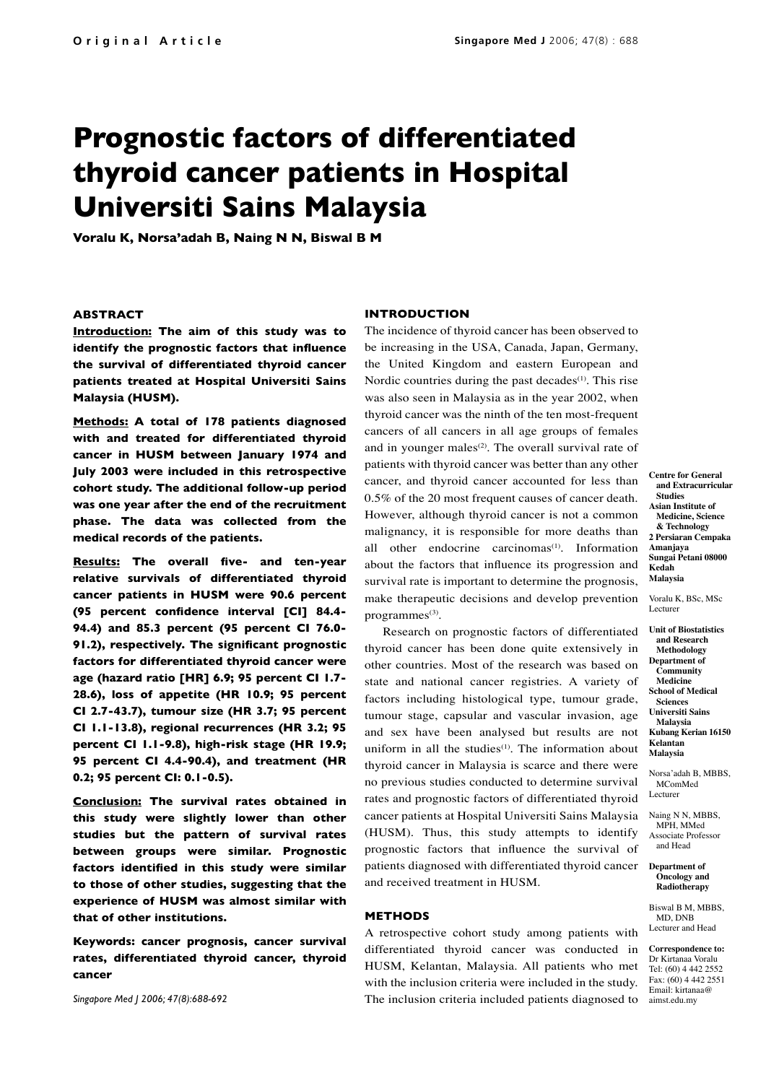# **Prognostic factors of differentiated thyroid cancer patients in Hospital Universiti Sains Malaysia**

**Voralu K, Norsa'adah B, Naing N N, Biswal B M**

# **ABSTRACT**

**Introduction: The aim of this study was to identify the prognostic factors that influence the survival of differentiated thyroid cancer patients treated at Hospital Universiti Sains Malaysia (HUSM).**

**Methods: A total of 178 patients diagnosed with and treated for differentiated thyroid cancer in HUSM between January 1974 and July 2003 were included in this retrospective cohort study. The additional follow-up period was one year after the end of the recruitment phase. The data was collected from the medical records of the patients.** 

**Results: The overall five- and ten-year relative survivals of differentiated thyroid cancer patients in HUSM were 90.6 percent (95 percent confidence interval [CI] 84.4- 94.4) and 85.3 percent (95 percent CI 76.0- 91.2), respectively. The significant prognostic factors for differentiated thyroid cancer were age (hazard ratio [HR] 6.9; 95 percent CI 1.7- 28.6), loss of appetite (HR 10.9; 95 percent CI 2.7-43.7), tumour size (HR 3.7; 95 percent CI 1.1-13.8), regional recurrences (HR 3.2; 95 percent CI 1.1-9.8), high-risk stage (HR 19.9; 95 percent CI 4.4-90.4), and treatment (HR 0.2; 95 percent CI: 0.1-0.5).**

**Conclusion: The survival rates obtained in this study were slightly lower than other studies but the pattern of survival rates between groups were similar. Prognostic factors identified in this study were similar to those of other studies, suggesting that the experience of HUSM was almost similar with that of other institutions.**

**Keywords: cancer prognosis, cancer survival rates, differentiated thyroid cancer, thyroid cancer**

*Singapore Med J 2006; 47(8):688-692*

## **INTRODUCTION**

The incidence of thyroid cancer has been observed to be increasing in the USA, Canada, Japan, Germany, the United Kingdom and eastern European and Nordic countries during the past decades<sup>(1)</sup>. This rise was also seen in Malaysia as in the year 2002, when thyroid cancer was the ninth of the ten most-frequent cancers of all cancers in all age groups of females and in younger males<sup> $(2)$ </sup>. The overall survival rate of patients with thyroid cancer was better than any other cancer, and thyroid cancer accounted for less than 0.5% of the 20 most frequent causes of cancer death. However, although thyroid cancer is not a common malignancy, it is responsible for more deaths than all other endocrine carcinomas $(1)$ . Information about the factors that influence its progression and survival rate is important to determine the prognosis, make therapeutic decisions and develop prevention programmes<sup>(3)</sup>.

Research on prognostic factors of differentiated thyroid cancer has been done quite extensively in other countries. Most of the research was based on state and national cancer registries. A variety of factors including histological type, tumour grade, tumour stage, capsular and vascular invasion, age and sex have been analysed but results are not uniform in all the studies<sup> $(1)$ </sup>. The information about thyroid cancer in Malaysia is scarce and there were no previous studies conducted to determine survival rates and prognostic factors of differentiated thyroid cancer patients at Hospital Universiti Sains Malaysia (HUSM). Thus, this study attempts to identify prognostic factors that influence the survival of patients diagnosed with differentiated thyroid cancer and received treatment in HUSM.

## **METHODS**

A retrospective cohort study among patients with differentiated thyroid cancer was conducted in HUSM, Kelantan, Malaysia. All patients who met with the inclusion criteria were included in the study. The inclusion criteria included patients diagnosed to

**Centre for General and Extracurricular Studies Asian Institute of Medicine, Science & Technology 2 Persiaran Cempaka Amanjaya Sungai Petani 08000 Kedah Malaysia**

Voralu K, BSc, MSc Lecturer

**Unit of Biostatistics and Research Methodology Department of Community Medicine School of Medical Sciences Universiti Sains Malaysia Kubang Kerian 16150 Kelantan Malaysia**

Norsa'adah B, MBBS, MComMed **Lecturer** 

Naing N N, MBBS, MPH, MMed Associate Professor and Head

#### **Department of Oncology and Radiotherapy**

Biswal B M, MBBS, MD, DNB Lecturer and Head

**Correspondence to:** Dr Kirtanaa Voralu Tel: (60) 4 442 2552 Fax: (60) 4 442 2551 Email: kirtanaa@ aimst.edu.my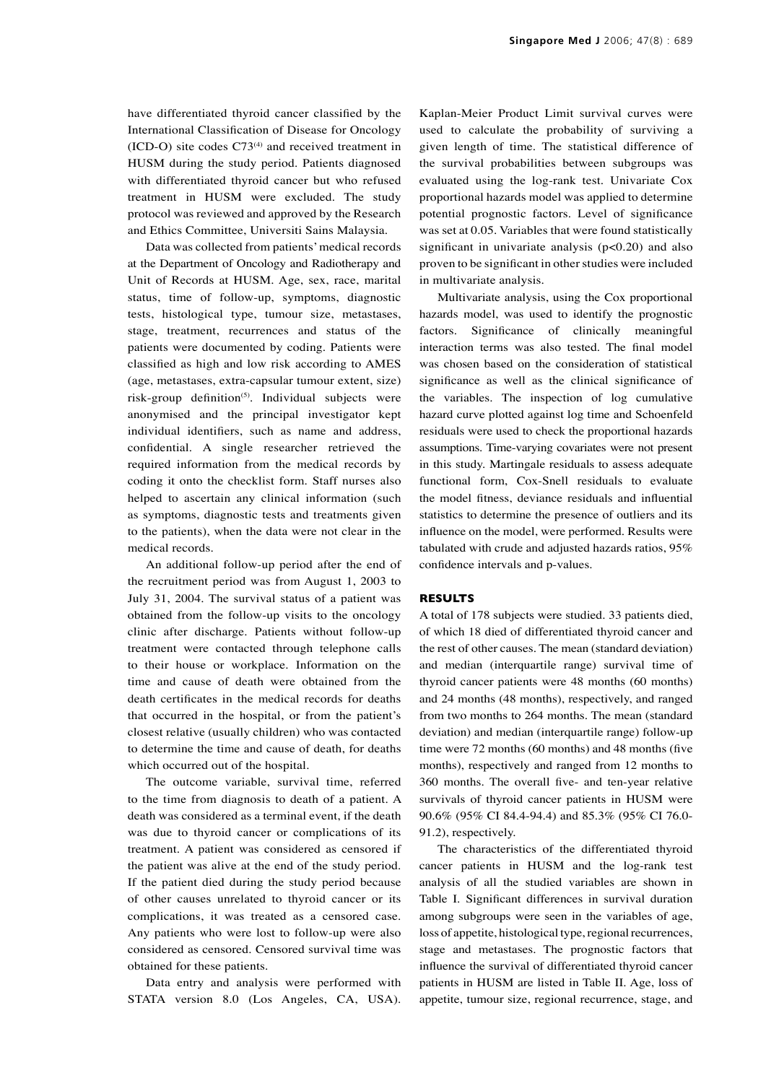have differentiated thyroid cancer classified by the International Classification of Disease for Oncology  $(ICD-O)$  site codes  $C73<sup>(4)</sup>$  and received treatment in HUSM during the study period. Patients diagnosed with differentiated thyroid cancer but who refused treatment in HUSM were excluded. The study protocol was reviewed and approved by the Research and Ethics Committee, Universiti Sains Malaysia.

Data was collected from patients' medical records at the Department of Oncology and Radiotherapy and Unit of Records at HUSM. Age, sex, race, marital status, time of follow-up, symptoms, diagnostic tests, histological type, tumour size, metastases, stage, treatment, recurrences and status of the patients were documented by coding. Patients were classified as high and low risk according to AMES (age, metastases, extra-capsular tumour extent, size) risk-group definition<sup>(5)</sup>. Individual subjects were anonymised and the principal investigator kept individual identifiers, such as name and address, confidential. A single researcher retrieved the required information from the medical records by coding it onto the checklist form. Staff nurses also helped to ascertain any clinical information (such as symptoms, diagnostic tests and treatments given to the patients), when the data were not clear in the medical records.

An additional follow-up period after the end of the recruitment period was from August 1, 2003 to July 31, 2004. The survival status of a patient was obtained from the follow-up visits to the oncology clinic after discharge. Patients without follow-up treatment were contacted through telephone calls to their house or workplace. Information on the time and cause of death were obtained from the death certificates in the medical records for deaths that occurred in the hospital, or from the patient's closest relative (usually children) who was contacted to determine the time and cause of death, for deaths which occurred out of the hospital.

The outcome variable, survival time, referred to the time from diagnosis to death of a patient. A death was considered as a terminal event, if the death was due to thyroid cancer or complications of its treatment. A patient was considered as censored if the patient was alive at the end of the study period. If the patient died during the study period because of other causes unrelated to thyroid cancer or its complications, it was treated as a censored case. Any patients who were lost to follow-up were also considered as censored. Censored survival time was obtained for these patients.

Data entry and analysis were performed with STATA version 8.0 (Los Angeles, CA, USA).

Kaplan-Meier Product Limit survival curves were used to calculate the probability of surviving a given length of time. The statistical difference of the survival probabilities between subgroups was evaluated using the log-rank test. Univariate Cox proportional hazards model was applied to determine potential prognostic factors. Level of significance was set at 0.05. Variables that were found statistically significant in univariate analysis  $(p<0.20)$  and also proven to be significant in other studies were included in multivariate analysis.

Multivariate analysis, using the Cox proportional hazards model, was used to identify the prognostic factors. Significance of clinically meaningful interaction terms was also tested. The final model was chosen based on the consideration of statistical significance as well as the clinical significance of the variables. The inspection of log cumulative hazard curve plotted against log time and Schoenfeld residuals were used to check the proportional hazards assumptions. Time-varying covariates were not present in this study. Martingale residuals to assess adequate functional form, Cox-Snell residuals to evaluate the model fitness, deviance residuals and influential statistics to determine the presence of outliers and its influence on the model, were performed. Results were tabulated with crude and adjusted hazards ratios, 95% confidence intervals and p-values.

## **RESULTS**

A total of 178 subjects were studied. 33 patients died, of which 18 died of differentiated thyroid cancer and the rest of other causes. The mean (standard deviation) and median (interquartile range) survival time of thyroid cancer patients were 48 months (60 months) and 24 months (48 months), respectively, and ranged from two months to 264 months. The mean (standard deviation) and median (interquartile range) follow-up time were 72 months (60 months) and 48 months (five months), respectively and ranged from 12 months to 360 months. The overall five- and ten-year relative survivals of thyroid cancer patients in HUSM were 90.6% (95% CI 84.4-94.4) and 85.3% (95% CI 76.0- 91.2), respectively.

The characteristics of the differentiated thyroid cancer patients in HUSM and the log-rank test analysis of all the studied variables are shown in Table I. Significant differences in survival duration among subgroups were seen in the variables of age, loss of appetite, histological type, regional recurrences, stage and metastases. The prognostic factors that influence the survival of differentiated thyroid cancer patients in HUSM are listed in Table II. Age, loss of appetite, tumour size, regional recurrence, stage, and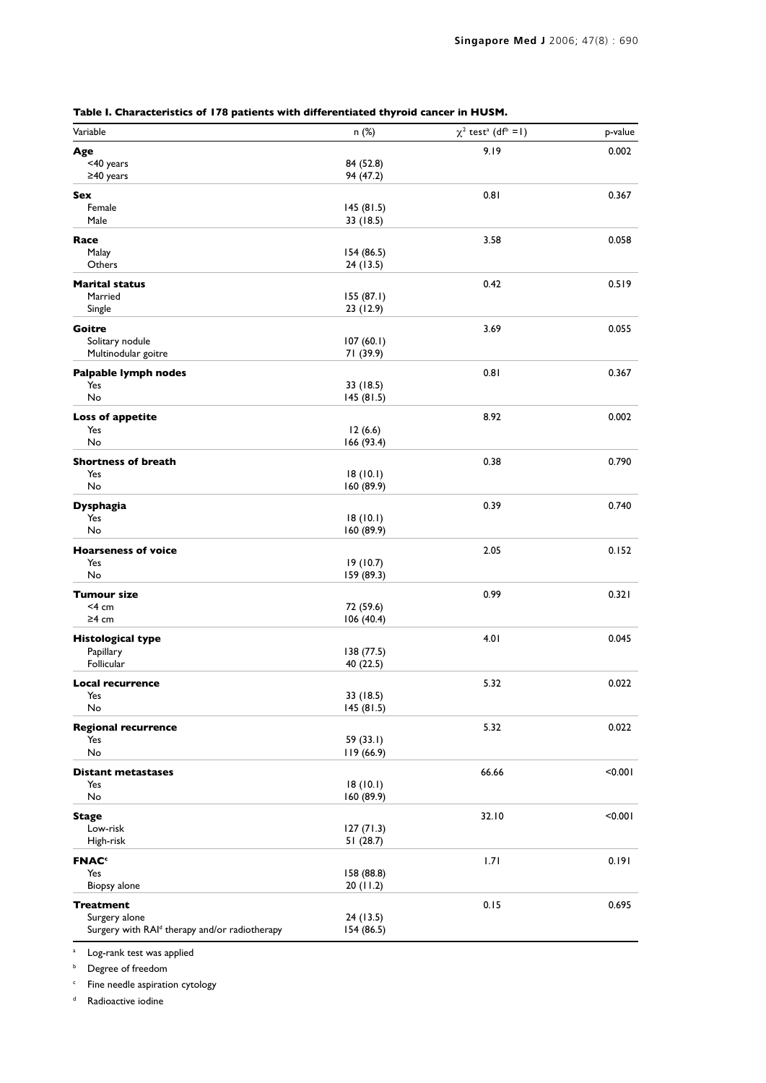| Variable                                      | n(%)                    | $\chi^2$ test <sup>a</sup> (df <sup>b</sup> = 1) | p-value |
|-----------------------------------------------|-------------------------|--------------------------------------------------|---------|
| Age                                           |                         | 9.19                                             | 0.002   |
| <40 years                                     | 84 (52.8)               |                                                  |         |
| ≥40 years                                     | 94 (47.2)               |                                                  |         |
| Sex                                           |                         | 0.81                                             | 0.367   |
| Female                                        | 145(81.5)               |                                                  |         |
| Male                                          | 33 (18.5)               |                                                  |         |
| Race                                          |                         | 3.58                                             | 0.058   |
| Malay                                         | 154 (86.5)              |                                                  |         |
| Others                                        | 24 (13.5)               |                                                  |         |
| <b>Marital status</b>                         |                         | 0.42                                             | 0.519   |
| Married<br>Single                             | 155(87.1)<br>23 (12.9)  |                                                  |         |
|                                               |                         |                                                  |         |
| Goitre                                        |                         | 3.69                                             | 0.055   |
| Solitary nodule<br>Multinodular goitre        | 107(60.1)<br>71 (39.9)  |                                                  |         |
|                                               |                         |                                                  |         |
| <b>Palpable lymph nodes</b><br>Yes            | 33 (18.5)               | 0.81                                             | 0.367   |
| No                                            | 145(81.5)               |                                                  |         |
|                                               |                         | 8.92                                             | 0.002   |
| <b>Loss of appetite</b><br>Yes                | 12(6.6)                 |                                                  |         |
| No                                            | 166(93.4)               |                                                  |         |
| <b>Shortness of breath</b>                    |                         | 0.38                                             | 0.790   |
| Yes                                           | 18(10.1)                |                                                  |         |
| No                                            | 160(89.9)               |                                                  |         |
| <b>Dysphagia</b>                              |                         | 0.39                                             | 0.740   |
| Yes                                           | 18(10.1)                |                                                  |         |
| No                                            | 160 (89.9)              |                                                  |         |
| <b>Hoarseness of voice</b>                    |                         | 2.05                                             | 0.152   |
| Yes                                           | 19(10.7)                |                                                  |         |
| No                                            | 159 (89.3)              |                                                  |         |
| Tumour size                                   |                         | 0.99                                             | 0.321   |
| <4 cm                                         | 72 (59.6)               |                                                  |         |
| $\geq$ 4 cm                                   | 106(40.4)               |                                                  |         |
| <b>Histological type</b>                      |                         | 4.01                                             | 0.045   |
| Papillary                                     | 138 (77.5)              |                                                  |         |
| Follicular                                    | 40 (22.5)               |                                                  |         |
| <b>Local recurrence</b>                       |                         | 5.32                                             | 0.022   |
| Yes<br>No                                     | 33 (18.5)<br>145(81.5)  |                                                  |         |
|                                               |                         |                                                  |         |
| <b>Regional recurrence</b>                    |                         | 5.32                                             | 0.022   |
| Yes<br>No                                     | 59 (33.1)<br>119 (66.9) |                                                  |         |
|                                               |                         |                                                  |         |
| <b>Distant metastases</b><br>Yes              | 18(10.1)                | 66.66                                            | < 0.001 |
| No                                            | 160 (89.9)              |                                                  |         |
| <b>Stage</b>                                  |                         | 32.10                                            | < 0.001 |
| Low-risk                                      | 127(71.3)               |                                                  |         |
| High-risk                                     | 51(28.7)                |                                                  |         |
| <b>FNAC<sup>c</sup></b>                       |                         | 1.71                                             | 0.191   |
| Yes                                           | 158 (88.8)              |                                                  |         |
| Biopsy alone                                  | 20 (11.2)               |                                                  |         |
| <b>Treatment</b>                              |                         | 0.15                                             | 0.695   |
| Surgery alone                                 | 24 (13.5)               |                                                  |         |
| Surgery with RAId therapy and/or radiotherapy | 154 (86.5)              |                                                  |         |

| Table I. Characteristics of 178 patients with differentiated thyroid cancer in HUSM. |  |  |
|--------------------------------------------------------------------------------------|--|--|
|                                                                                      |  |  |

<sup>a</sup> Log-rank test was applied

**b** Degree of freedom

<sup>c</sup> Fine needle aspiration cytology

<sup>d</sup> Radioactive iodine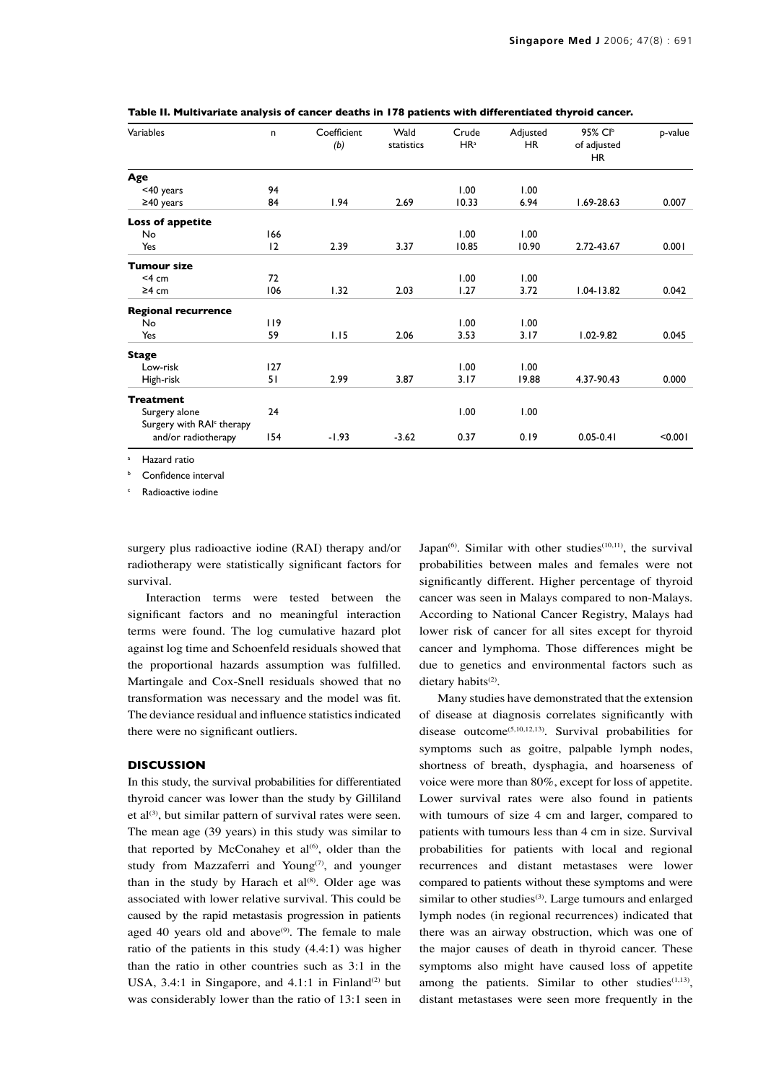| Variables                             | n   | Coefficient<br>(b) | Wald<br>statistics | Crude<br>HR <sup>a</sup> | Adjusted<br><b>HR</b> | 95% CIb<br>of adjusted<br>HR. | p-value |
|---------------------------------------|-----|--------------------|--------------------|--------------------------|-----------------------|-------------------------------|---------|
| Age                                   |     |                    |                    |                          |                       |                               |         |
| <40 years                             | 94  |                    |                    | 1.00                     | 1.00                  |                               |         |
| $\geq$ 40 years                       | 84  | 1.94               | 2.69               | 10.33                    | 6.94                  | $1.69 - 28.63$                | 0.007   |
| <b>Loss of appetite</b>               |     |                    |                    |                          |                       |                               |         |
| No                                    | 166 |                    |                    | 1.00                     | 1.00                  |                               |         |
| Yes                                   | 12  | 2.39               | 3.37               | 10.85                    | 10.90                 | 2.72-43.67                    | 0.001   |
| <b>Tumour size</b>                    |     |                    |                    |                          |                       |                               |         |
| $<$ 4 cm                              | 72  |                    |                    | 1.00                     | 1.00                  |                               |         |
| $\geq$ 4 cm                           | 106 | 1.32               | 2.03               | 1.27                     | 3.72                  | $1.04 - 13.82$                | 0.042   |
| <b>Regional recurrence</b>            |     |                    |                    |                          |                       |                               |         |
| No                                    | 119 |                    |                    | 1.00                     | 1.00                  |                               |         |
| Yes                                   | 59  | 1.15               | 2.06               | 3.53                     | 3.17                  | $1.02 - 9.82$                 | 0.045   |
| <b>Stage</b>                          |     |                    |                    |                          |                       |                               |         |
| Low-risk                              | 127 |                    |                    | 1.00                     | 1.00                  |                               |         |
| High-risk                             | 51  | 2.99               | 3.87               | 3.17                     | 19.88                 | 4.37-90.43                    | 0.000   |
| <b>Treatment</b>                      |     |                    |                    |                          |                       |                               |         |
| Surgery alone                         | 24  |                    |                    | 1.00                     | 1.00                  |                               |         |
| Surgery with RAI <sup>c</sup> therapy |     |                    |                    |                          |                       |                               |         |
| and/or radiotherapy                   | 154 | $-1.93$            | $-3.62$            | 0.37                     | 0.19                  | $0.05 - 0.41$                 | < 0.001 |

**Table II. Multivariate analysis of cancer deaths in 178 patients with differentiated thyroid cancer.**

Hazard ratio

Confidence interval

<sup>c</sup> Radioactive iodine

surgery plus radioactive iodine (RAI) therapy and/or radiotherapy were statistically significant factors for survival.

Interaction terms were tested between the significant factors and no meaningful interaction terms were found. The log cumulative hazard plot against log time and Schoenfeld residuals showed that the proportional hazards assumption was fulfilled. Martingale and Cox-Snell residuals showed that no transformation was necessary and the model was fit. The deviance residual and influence statistics indicated there were no significant outliers.

## **DISCUSSION**

In this study, the survival probabilities for differentiated thyroid cancer was lower than the study by Gilliland et al $^{(3)}$ , but similar pattern of survival rates were seen. The mean age (39 years) in this study was similar to that reported by McConahey et  $al^{(6)}$ , older than the study from Mazzaferri and Young<sup>(7)</sup>, and younger than in the study by Harach et  $al^{(8)}$ . Older age was associated with lower relative survival. This could be caused by the rapid metastasis progression in patients aged 40 years old and above $(9)$ . The female to male ratio of the patients in this study (4.4:1) was higher than the ratio in other countries such as 3:1 in the USA, 3.4:1 in Singapore, and  $4.1:1$  in Finland<sup>(2)</sup> but was considerably lower than the ratio of 13:1 seen in

Japan<sup>(6)</sup>. Similar with other studies<sup> $(10,11)$ </sup>, the survival probabilities between males and females were not significantly different. Higher percentage of thyroid cancer was seen in Malays compared to non-Malays. According to National Cancer Registry, Malays had lower risk of cancer for all sites except for thyroid cancer and lymphoma. Those differences might be due to genetics and environmental factors such as dietary habits<sup>(2)</sup>.

Many studies have demonstrated that the extension of disease at diagnosis correlates significantly with disease outcome(5,10,12,13). Survival probabilities for symptoms such as goitre, palpable lymph nodes, shortness of breath, dysphagia, and hoarseness of voice were more than 80%, except for loss of appetite. Lower survival rates were also found in patients with tumours of size 4 cm and larger, compared to patients with tumours less than 4 cm in size. Survival probabilities for patients with local and regional recurrences and distant metastases were lower compared to patients without these symptoms and were similar to other studies<sup>(3)</sup>. Large tumours and enlarged lymph nodes (in regional recurrences) indicated that there was an airway obstruction, which was one of the major causes of death in thyroid cancer. These symptoms also might have caused loss of appetite among the patients. Similar to other studies $(1,13)$ , distant metastases were seen more frequently in the